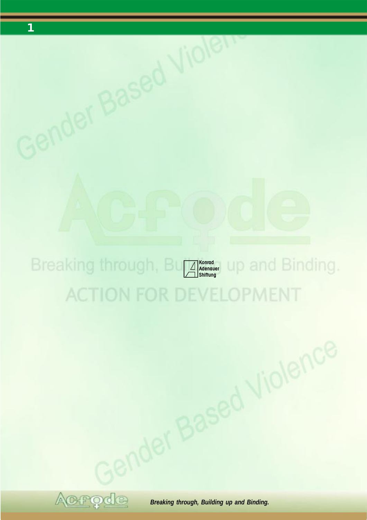

Gender Based Violen

## **ACTION FOR DEVELOPMENT**



**BREAKING WASHARP**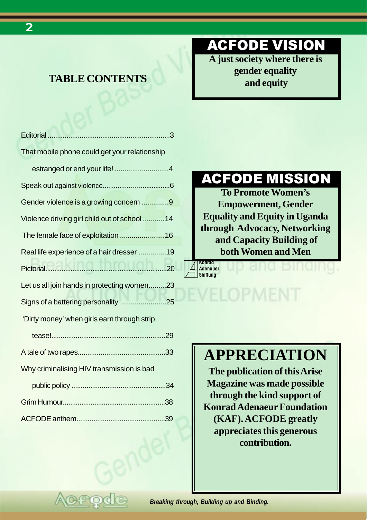## **TABLE CONTENTS**

## ACFODE VISION

**A just society where there is gender equality and equity**

| That mobile phone could get your relationship |  |
|-----------------------------------------------|--|
| estranged or end your life! 4                 |  |
|                                               |  |
| Gender violence is a growing concern 9        |  |
| Violence driving girl child out of school 14  |  |
| The female face of exploitation 16            |  |
| Real life experience of a hair dresser 19     |  |
|                                               |  |
| Let us all join hands in protecting women23   |  |
| Signs of a battering personality 25           |  |
| 'Dirty money' when girls earn through strip   |  |
|                                               |  |
|                                               |  |
| Why criminalising HIV transmission is bad     |  |
|                                               |  |
|                                               |  |
|                                               |  |

## ACFODE MISSION

**To Promote Women's Empowerment, Gender Equality and Equity in Uganda through Advocacy, Networking and Capacity Building of both Women and Men**

## DEVELOPMENT

**Konrad Adenauer Shiftung**

## **APPRECIATION**

**The publication of this Arise Magazine was made possible through the kind support of Konrad Adenaeur Foundation (KAF). ACFODE greatly appreciates this generous contribution.**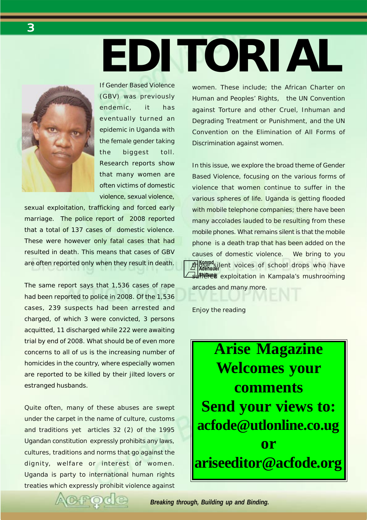# **EDITORIAL**



If Gender Based Violence (GBV) was previously endemic, it has eventually turned an epidemic in Uganda with the female gender taking the biggest toll. Research reports show that many women are often victims of domestic violence, sexual violence,

sexual exploitation, trafficking and forced early marriage. The police report of 2008 reported that a total of 137 cases of domestic violence. These were however only fatal cases that had resulted in death. This means that cases of GBV are often reported only when they result in death.

The same report says that 1,536 cases of rape had been reported to police in 2008. Of the 1,536 cases, 239 suspects had been arrested and charged, of which 3 were convicted, 3 persons acquitted, 11 discharged while 222 were awaiting trial by end of 2008. What should be of even more concerns to all of us is the increasing number of homicides in the country, where especially women are reported to be killed by their jilted lovers or estranged husbands.

Quite often, many of these abuses are swept under the carpet in the name of culture, customs and traditions yet articles 32 (2) of the 1995 Ugandan constitution expressly prohibits any laws, cultures, traditions and norms that go against the dignity, welfare or interest of women. Uganda is party to international human rights treaties which expressly prohibit violence against women. These include; the African Charter on Human and Peoples' Rights, the UN Convention against Torture and other Cruel, Inhuman and Degrading Treatment or Punishment, and the UN Convention on the Elimination of All Forms of Discrimination against women.

**Konrad Adenauer**<br>**Adenauer**<br>**Adenauer suffletual** exploitation in Kampala's mushrooming In this issue, we explore the broad theme of Gender Based Violence, focusing on the various forms of violence that women continue to suffer in the various spheres of life. Uganda is getting flooded with mobile telephone companies; there have been many accolades lauded to be resulting from these mobile phones. What remains silent is that the mobile phone is a death trap that has been added on the causes of domestic violence. We bring to you arcades and many more.

Enjoy the reading

**Arise Magazine Welcomes your comments Send your views to: acfode@utlonline.co.ug or ariseeditor@acfode.org**

<span id="page-2-0"></span>*3*

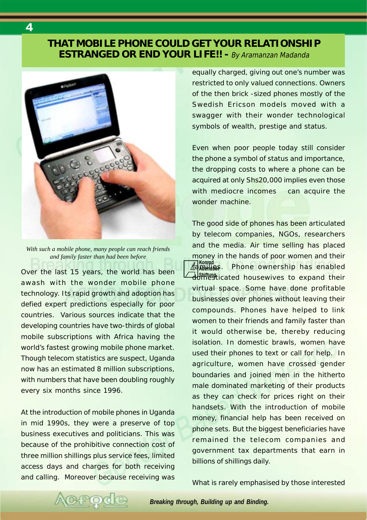### <span id="page-3-0"></span>**THAT MOBILE PHONE COULD GET YOUR RELATIONSHIP ESTRANGED OR END YOUR LIFE!! -** By Aramanzan Madanda



*With such a mobile phone, many people can reach friends and family faster than had been before*

Over the last 15 years, the world has been awash with the wonder mobile phone technology. Its rapid growth and adoption has defied expert predictions especially for poor countries. Various sources indicate that the developing countries have two-thirds of global mobile subscriptions with Africa having the world's fastest growing mobile phone market. Though telecom statistics are suspect, Uganda now has an estimated 8 million subscriptions, with numbers that have been doubling roughly every six months since 1996.

At the introduction of mobile phones in Uganda in mid 1990s, they were a preserve of top business executives and politicians. This was because of the prohibitive connection cost of three million shillings plus service fees, limited access days and charges for both receiving and calling. Moreover because receiving was equally charged, giving out one's number was restricted to only valued connections. Owners of the then brick -sized phones mostly of the Swedish Ericson models moved with a swagger with their wonder technological symbols of wealth, prestige and status.

Even when poor people today still consider the phone a symbol of status and importance, the dropping costs to where a phone can be acquired at only Shs20,000 implies even those with mediocre incomes can acquire the wonder machine.

**Konrad Adenauer** The good side of phones has been articulated by telecom companies, NGOs, researchers and the media. Air time selling has placed money in the hands of poor women and their Phone ownership has enabled domesticated housewives to expand their virtual space. Some have done profitable businesses over phones without leaving their compounds. Phones have helped to link women to their friends and family faster than it would otherwise be, thereby reducing isolation. In domestic brawls, women have used their phones to text or call for help. In agriculture, women have crossed gender boundaries and joined men in the hitherto male dominated marketing of their products as they can check for prices right on their handsets. With the introduction of mobile money, financial help has been received on phone sets. But the biggest beneficiaries have remained the telecom companies and government tax departments that earn in billions of shillings daily.

What is rarely emphasised by those interested

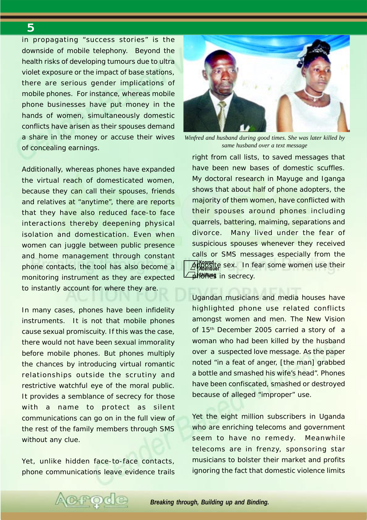in propagating "success stories" is the downside of mobile telephony. Beyond the health risks of developing tumours due to ultra violet exposure or the impact of base stations, there are serious gender implications of mobile phones. For instance, whereas mobile phone businesses have put money in the hands of women, simultaneously domestic conflicts have arisen as their spouses demand a share in the money or accuse their wives of concealing earnings.

Additionally, whereas phones have expanded the virtual reach of domesticated women, because they can call their spouses, friends and relatives at "anytime", there are reports that they have also reduced face-to face interactions thereby deepening physical isolation and domestication. Even when women can juggle between public presence and home management through constant phone contacts, the tool has also become a monitoring instrument as they are expected to instantly account for where they are.

In many cases, phones have been infidelity instruments. It is not that mobile phones cause sexual promiscuity. If this was the case, there would not have been sexual immorality before mobile phones. But phones multiply the chances by introducing virtual romantic relationships outside the scrutiny and restrictive watchful eye of the moral public. It provides a semblance of secrecy for those with a name to protect as silent communications can go on in the full view of the rest of the family members through SMS without any clue.

Yet, unlike hidden face-to-face contacts, phone communications leave evidence trails

POC



*Winfred and husband during good times. She was later killed by same husband over a text message*

**Konrad Adenauer** opposite sex. In fear some women use their **phones** in secrecy. right from call lists, to saved messages that have been new bases of domestic scuffles. My doctoral research in Mayuge and Iganga shows that about half of phone adopters, the majority of them women, have conflicted with their spouses around phones including quarrels, battering, maiming, separations and divorce. Many lived under the fear of suspicious spouses whenever they received calls or SMS messages especially from the

Ugandan musicians and media houses have highlighted phone use related conflicts amongst women and men. The New Vision of 15<sup>th</sup> December 2005 carried a story of a woman who had been killed by the husband over a suspected love message. As the paper noted "in a feat of anger, [the man] grabbed a bottle and smashed his wife's head". Phones have been confiscated, smashed or destroyed because of alleged "improper" use.

Yet the eight million subscribers in Uganda who are enriching telecoms and government seem to have no remedy. Meanwhile telecoms are in frenzy, sponsoring star musicians to bolster their market and profits ignoring the fact that domestic violence limits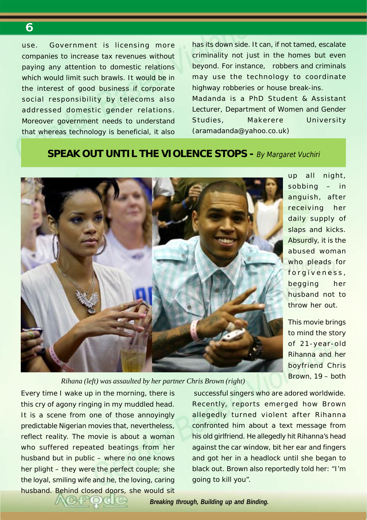use. Government is licensing more companies to increase tax revenues without paying any attention to domestic relations which would limit such brawls. It would be in the interest of good business if corporate social responsibility by telecoms also addressed domestic gender relations. Moreover government needs to understand that whereas technology is beneficial, it also has its down side. It can, if not tamed, escalate criminality not just in the homes but even beyond. For instance, robbers and criminals may use the technology to coordinate highway robberies or house break-ins. *Madanda is a PhD Student & Assistant Lecturer, Department of Women and Gender Studies, Makerere University (aramadanda@yahoo.co.uk)*

## **SPEAK OUT UNTIL THE VIOLENCE STOPS - By Margaret Vuchiri**



up all night, sobbing – in anguish, after receiving her daily supply of slaps and kicks. Absurdly, it is the abused woman who pleads for forgiveness, begging her husband not to throw her out.

This movie brings to mind the story of 21-year-old Rihanna and her boyfriend Chris Brown, 19 – both

*Rihana (left) was assaulted by her partner Chris Brown (right)*

Every time I wake up in the morning, there is this cry of agony ringing in my muddled head. It is a scene from one of those annoyingly predictable Nigerian movies that, nevertheless, reflect reality. The movie is about a woman who suffered repeated beatings from her husband but in public – where no one knows her plight – they were the perfect couple; she the loyal, smiling wife and he, the loving, caring husband. Behind closed doors, she would sit

 successful singers who are adored worldwide. Recently, reports emerged how Brown allegedly turned violent after Rihanna confronted him about a text message from his old girlfriend. He allegedly hit Rihanna's head against the car window, bit her ear and fingers and got her in a headlock until she began to black out. Brown also reportedly told her: "I'm going to kill you".

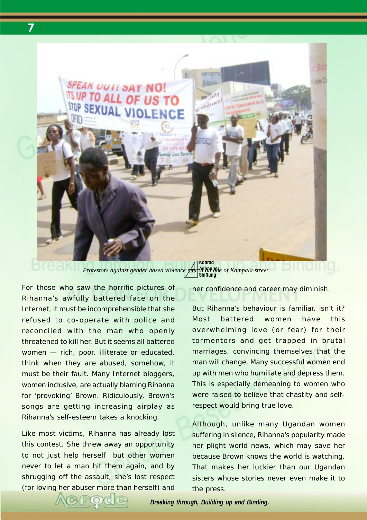

**Adenauer Shiftung**

For those who saw the horrific pictures of Rihanna's awfully battered face on the Internet, it must be incomprehensible that she refused to co-operate with police and reconciled with the man who openly threatened to kill her. But it seems all battered women — rich, poor, illiterate or educated, think when they are abused, somehow, it must be their fault. Many Internet bloggers, women inclusive, are actually blaming Rihanna for 'provoking' Brown. Ridiculously, Brown's songs are getting increasing airplay as Rihanna's self-esteem takes a knocking.

Like most victims, Rihanna has already lost this contest. She threw away an opportunity to not just help herself but other women never to let a man hit them again, and by shrugging off the assault, she's lost respect (for loving her abuser more than herself) and her confidence and career may diminish.

But Rihanna's behaviour is familiar, isn't it? Most battered women have this overwhelming love (or fear) for their tormentors and get trapped in brutal marriages, convincing themselves that the man will change. Many successful women end up with men who humiliate and depress them. This is especially demeaning to women who were raised to believe that chastity and selfrespect would bring true love.

Although, unlike many Ugandan women suffering in silence, Rihanna's popularity made her plight world news, which may save her because Brown knows the world is watching. That makes her luckier than our Ugandan sisters whose stories never even make it to the press.

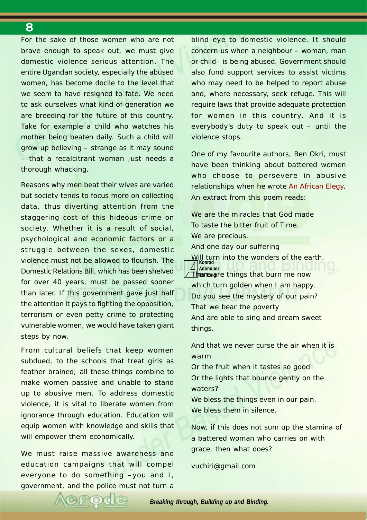For the sake of those women who are not brave enough to speak out, we must give domestic violence serious attention. The entire Ugandan society, especially the abused women, has become docile to the level that we seem to have resigned to fate. We need to ask ourselves what kind of generation we are breeding for the future of this country. Take for example a child who watches his mother being beaten daily. Such a child will grow up believing – strange as it may sound – that a recalcitrant woman just needs a thorough whacking.

Reasons why men beat their wives are varied but society tends to focus more on collecting data, thus diverting attention from the staggering cost of this hideous crime on society. Whether it is a result of social, psychological and economic factors or a struggle between the sexes, domestic violence must not be allowed to flourish. The Domestic Relations Bill, which has been shelved for over 40 years, must be passed sooner than later. If this government gave just half the attention it pays to fighting the opposition, terrorism or even petty crime to protecting vulnerable women, we would have taken giant steps by now.

From cultural beliefs that keep women subdued, to the schools that treat girls as feather brained; all these things combine to make women passive and unable to stand up to abusive men. To address domestic violence, it is vital to liberate women from ignorance through education. Education will equip women with knowledge and skills that will empower them economically.

We must raise massive awareness and education campaigns that will compel everyone to do something –you and I, government, and the police must not turn a

blind eye to domestic violence. It should concern us when a neighbour – woman, man or child– is being abused. Government should also fund support services to assist victims who may need to be helped to report abuse and, where necessary, seek refuge. This will require laws that provide adequate protection for women in this country. And it is everybody's duty to speak out – until the violence stops.

One of my favourite authors, Ben Okri, must have been thinking about battered women who choose to persevere in abusive relationships when he wrote An African Elegy. An extract from this poem reads:

Will turn into the wonders of the earth.<br>Al**Konrad Adenauer Therme** are things that burn me now We are the miracles that God made To taste the bitter fruit of Time. We are precious. And one day our suffering which turn golden when I am happy.

Do you see the mystery of our pain? That we bear the poverty And are able to sing and dream sweet things.

And that we never curse the air when it is warm

Or the fruit when it tastes so good Or the lights that bounce gently on the waters?

We bless the things even in our pain. We bless them in silence.

Now, if this does not sum up the stamina of a battered woman who carries on with grace, then what does?

vuchiri@gmail.com

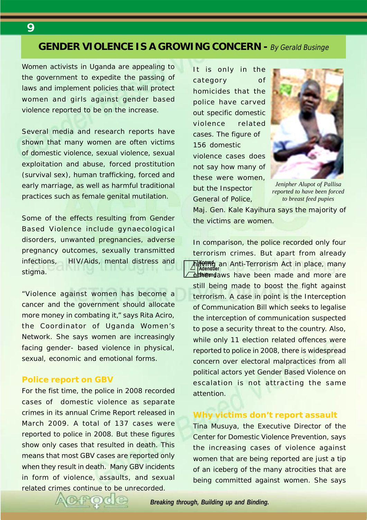## <span id="page-8-0"></span>**GENDER VIOLENCE IS A GROWING CONCERN -** By Gerald Businge

Women activists in Uganda are appealing to the government to expedite the passing of laws and implement policies that will protect women and girls against gender based violence reported to be on the increase.

Several media and research reports have shown that many women are often victims of domestic violence, sexual violence, sexual exploitation and abuse, forced prostitution (survival sex), human trafficking, forced and early marriage, as well as harmful traditional practices such as female genital mutilation.

Some of the effects resulting from Gender Based Violence include gynaecological disorders, unwanted pregnancies, adverse pregnancy outcomes, sexually transmitted infections, HIV/Aids, mental distress and stigma.

"Violence against women has become a cancer and the government should allocate more money in combating it," says Rita Aciro, the Coordinator of Uganda Women's Network. She says women are increasingly facing gender- based violence in physical, sexual, economic and emotional forms.

#### **Police report on GBV**

For the fist time, the police in 2008 recorded cases of domestic violence as separate crimes in its annual Crime Report released in March 2009. A total of 137 cases were reported to police in 2008. But these figures show only cases that resulted in death. This means that most GBV cases are reported only when they result in death. Many GBV incidents in form of violence, assaults, and sexual related crimes continue to be unrecorded.

It is only in the category of homicides that the police have carved out specific domestic violence related cases. The figure of 156 domestic violence cases does not say how many of these were women, but the Inspector General of Police,



*Jenipher Alupot of Pallisa reported to have been forced to breast feed pupies*

Maj. Gen. Kale Kayihura says the majority of the victims are women.

**Konrad ለජිଡ1196** an Anti-Terrorism Act in place, many<br>Tadenader **dishemdaws have been made and more are** In comparison, the police recorded only four terrorism crimes. But apart from already still being made to boost the fight against terrorism. A case in point is the Interception of Communication Bill which seeks to legalise the interception of communication suspected to pose a security threat to the country. Also, while only 11 election related offences were reported to police in 2008, there is widespread concern over electoral malpractices from all political actors yet Gender Based Violence on escalation is not attracting the same attention.

#### **Why victims don't report assault**

Tina Musuya, the Executive Director of the Center for Domestic Violence Prevention, says the increasing cases of violence against women that are being reported are just a tip of an iceberg of the many atrocities that are being committed against women. She says

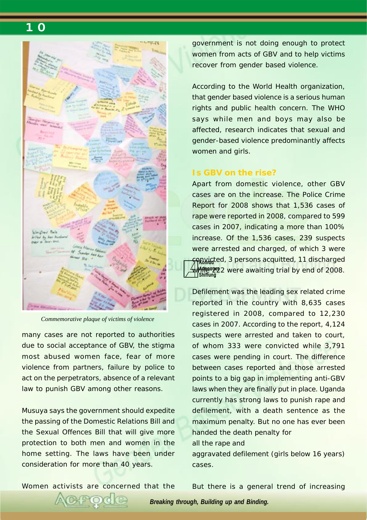

*Commemorative plaque of victims of violence*

many cases are not reported to authorities due to social acceptance of GBV, the stigma most abused women face, fear of more violence from partners, failure by police to act on the perpetrators, absence of a relevant law to punish GBV among other reasons.

Musuya says the government should expedite the passing of the Domestic Relations Bill and the Sexual Offences Bill that will give more protection to both men and women in the home setting. The laws have been under consideration for more than 40 years.

government is not doing enough to protect women from acts of GBV and to help victims recover from gender based violence.

According to the World Health organization, that gender based violence is a serious human rights and public health concern. The WHO says while men and boys may also be affected, research indicates that sexual and gender-based violence predominantly affects women and girls.

#### **Is GBV on the rise?**

**Forwicted, 3 persons acquitted, 11 discharged Adenauer WAPB<sup>000</sup>2** were awaiting trial by end of 2008.<br>I shiftung Apart from domestic violence, other GBV cases are on the increase. The Police Crime Report for 2008 shows that 1,536 cases of rape were reported in 2008, compared to 599 cases in 2007, indicating a more than 100% increase. Of the 1,536 cases, 239 suspects were arrested and charged, of which 3 were

Defilement was the leading sex related crime reported in the country with 8,635 cases registered in 2008, compared to 12,230 cases in 2007. According to the report, 4,124 suspects were arrested and taken to court, of whom 333 were convicted while 3,791 cases were pending in court. The difference between cases reported and those arrested points to a big gap in implementing anti-GBV laws when they are finally put in place. Uganda currently has strong laws to punish rape and defilement, with a death sentence as the maximum penalty. But no one has ever been handed the death penalty for

#### all the rape and

aggravated defilement (girls below 16 years) cases.

Women activists are concerned that the

But there is a general trend of increasing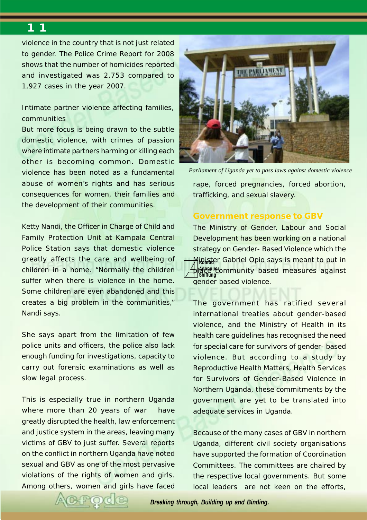violence in the country that is not just related to gender. The Police Crime Report for 2008 shows that the number of homicides reported and investigated was 2,753 compared to 1,927 cases in the year 2007.

#### Intimate partner violence affecting families, communities

But more focus is being drawn to the subtle domestic violence, with crimes of passion where intimate partners harming or killing each other is becoming common. Domestic violence has been noted as a fundamental abuse of women's rights and has serious consequences for women, their families and the development of their communities.

Ketty Nandi, the Officer in Charge of Child and Family Protection Unit at Kampala Central Police Station says that domestic violence greatly affects the care and wellbeing of children in a home. "Normally the children suffer when there is violence in the home. Some children are even abandoned and this creates a big problem in the communities," Nandi says.

She says apart from the limitation of few police units and officers, the police also lack enough funding for investigations, capacity to carry out forensic examinations as well as slow legal process.

This is especially true in northern Uganda where more than 20 years of war have greatly disrupted the health, law enforcement and justice system in the areas, leaving many victims of GBV to just suffer. Several reports on the conflict in northern Uganda have noted sexual and GBV as one of the most pervasive violations of the rights of women and girls. Among others, women and girls have faced



*Parliament of Uganda yet to pass laws against domestic violence*

rape, forced pregnancies, forced abortion, trafficking, and sexual slavery.

#### **Government response to GBV**

**Minister Gabriel Opio says is meant to put in place community based measures against Shiftung** The Ministry of Gender, Labour and Social Development has been working on a national strategy on Gender- Based Violence which the gender based violence.

The government has ratified several international treaties about gender-based violence, and the Ministry of Health in its health care guidelines has recognised the need for special care for survivors of gender- based violence. But according to a study by Reproductive Health Matters, Health Services for Survivors of Gender-Based Violence in Northern Uganda, these commitments by the government are yet to be translated into adequate services in Uganda.

Because of the many cases of GBV in northern Uganda, different civil society organisations have supported the formation of Coordination Committees. The committees are chaired by the respective local governments. But some local leaders are not keen on the efforts,

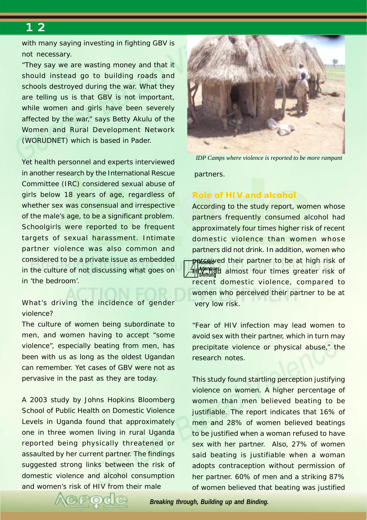with many saying investing in fighting GBV is not necessary.

"They say we are wasting money and that it should instead go to building roads and schools destroyed during the war. What they are telling us is that GBV is not important, while women and girls have been severely affected by the war," says Betty Akulu of the Women and Rural Development Network (WORUDNET) which is based in Pader.

Yet health personnel and experts interviewed in another research by the International Rescue Committee (IRC) considered sexual abuse of girls below 18 years of age, regardless of whether sex was consensual and irrespective of the male's age, to be a significant problem. Schoolgirls were reported to be frequent targets of sexual harassment. Intimate partner violence was also common and considered to be a private issue as embedded in the culture of not discussing what goes on in 'the bedroom'.

What's driving the incidence of gender violence?

The culture of women being subordinate to men, and women having to accept "some violence", especially beating from men, has been with us as long as the oldest Ugandan can remember. Yet cases of GBV were not as pervasive in the past as they are today.

A 2003 study by Johns Hopkins Bloomberg School of Public Health on Domestic Violence Levels in Uganda found that approximately one in three women living in rural Uganda reported being physically threatened or assaulted by her current partner. The findings suggested strong links between the risk of domestic violence and alcohol consumption and women's risk of HIV from their male



*IDP Camps where violence is reported to be more rampant*

partners.

#### **Role of HIV and alcohol**

**Adriable** fo be at high risk of their partner to be at high risk of **Adenauer Hill coenqued** almost four times greater risk of According to the study report, women whose partners frequently consumed alcohol had approximately four times higher risk of recent domestic violence than women whose partners did not drink. In addition, women who recent domestic violence, compared to women who perceived their partner to be at very low risk.

"Fear of HIV infection may lead women to avoid sex with their partner, which in turn may precipitate violence or physical abuse," the research notes.

This study found startling perception justifying violence on women. A higher percentage of women than men believed beating to be justifiable. The report indicates that 16% of men and 28% of women believed beatings to be justified when a woman refused to have sex with her partner. Also, 27% of women said beating is justifiable when a woman adopts contraception without permission of her partner. 60% of men and a striking 87% of women believed that beating was justified

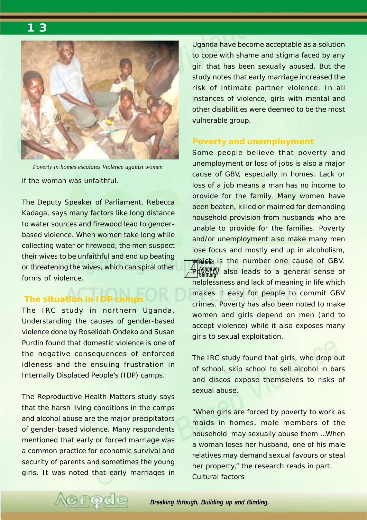

if the woman was unfaithful. *Poverty in homes escalates Violence against women*

The Deputy Speaker of Parliament, Rebecca Kadaga, says many factors like long distance to water sources and firewood lead to genderbased violence. When women take long while collecting water or firewood, the men suspect their wives to be unfaithful and end up beating or threatening the wives, which can spiral other forms of violence.

## **The situation in IDP camps**

The IRC study in northern Uganda, Understanding the causes of gender-based violence done by Roselidah Ondeko and Susan Purdin found that domestic violence is one of the negative consequences of enforced idleness and the ensuing frustration in Internally Displaced People's (IDP) camps.

The Reproductive Health Matters study says that the harsh living conditions in the camps and alcohol abuse are the major precipitators of gender-based violence. Many respondents mentioned that early or forced marriage was a common practice for economic survival and security of parents and sometimes the young girls. It was noted that early marriages in Uganda have become acceptable as a solution to cope with shame and stigma faced by any girl that has been sexually abused. But the study notes that early marriage increased the risk of intimate partner violence. In all instances of violence, girls with mental and other disabilities were deemed to be the most vulnerable group.

#### **Poverty and unemployment**

Some people believe that poverty and unemployment or loss of jobs is also a major cause of GBV, especially in homes. Lack or loss of a job means a man has no income to provide for the family. Many women have been beaten, killed or maimed for demanding household provision from husbands who are unable to provide for the families. Poverty and/or unemployment also make many men lose focus and mostly end up in alcoholism,

**Konrad** which is the number one cause of GBV. **Adenauer Rightly also leads to a general sense of** helplessness and lack of meaning in life which makes it easy for people to commit GBV crimes. Poverty has also been noted to make women and girls depend on men (and to accept violence) while it also exposes many girls to sexual exploitation.

The IRC study found that girls, who drop out of school, skip school to sell alcohol in bars and discos expose themselves to risks of sexual abuse.

"When girls are forced by poverty to work as maids in homes, male members of the household may sexually abuse them …When a woman loses her husband, one of his male relatives may demand sexual favours or steal her property," the research reads in part. Cultural factors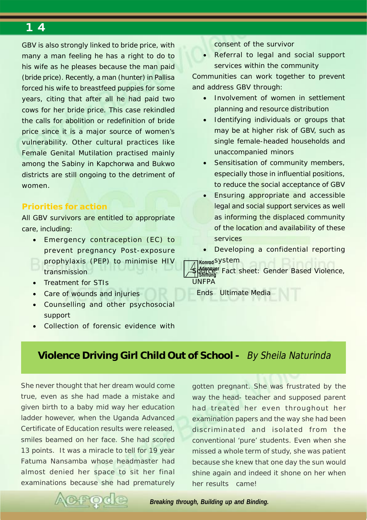<span id="page-13-0"></span>GBV is also strongly linked to bride price, with many a man feeling he has a right to do to his wife as he pleases because the man paid (bride price). Recently, a man (hunter) in Pallisa forced his wife to breastfeed puppies for some years, citing that after all he had paid two cows for her bride price. This case rekindled the calls for abolition or redefinition of bride price since it is a major source of women's vulnerability. Other cultural practices like Female Genital Mutilation practised mainly among the Sabiny in Kapchorwa and Bukwo districts are still ongoing to the detriment of women.

#### **Priorities for action**

All GBV survivors are entitled to appropriate care, including:

- Emergency contraception (EC) to prevent pregnancy Post-exposure prophylaxis (PEP) to minimise HIV transmission
- Treatment for STIs
- Care of wounds and injuries
- Counselling and other psychosocial support
- Collection of forensic evidence with

consent of the survivor

• Referral to legal and social support services within the community

Communities can work together to prevent and address GBV through:

- Involvement of women in settlement planning and resource distribution
- Identifying individuals or groups that may be at higher risk of GBV, such as single female-headed households and unaccompanied minors
- Sensitisation of community members, especially those in influential positions, to reduce the social acceptance of GBV
- Ensuring appropriate and accessible legal and social support services as well as informing the displaced community of the location and availability of these services
- Developing a confidential reporting

**Konrad** system

**Adenauer Shiftung** Source: *Fact sheet: Gender Based Violence, UNFPA*

Ends Ultimate Media

## **Violence Driving Girl Child Out of School -** By Sheila Naturinda

She never thought that her dream would come true, even as she had made a mistake and given birth to a baby mid way her education ladder however, when the Uganda Advanced Certificate of Education results were released, smiles beamed on her face. She had scored 13 points. It was a miracle to tell for 19 year Fatuma Nansamba whose headmaster had almost denied her space to sit her final examinations because she had prematurely

gotten pregnant. She was frustrated by the way the head- teacher and supposed parent had treated her even throughout her examination papers and the way she had been discriminated and isolated from the conventional 'pure' students. Even when she missed a whole term of study, she was patient because she knew that one day the sun would shine again and indeed it shone on her when her results came!

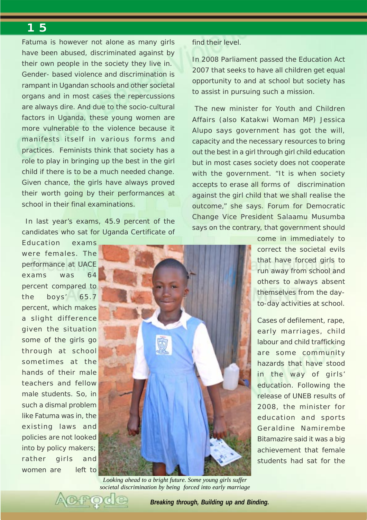Fatuma is however not alone as many girls have been abused, discriminated against by their own people in the society they live in. Gender- based violence and discrimination is rampant in Ugandan schools and other societal organs and in most cases the repercussions are always dire. And due to the socio-cultural factors in Uganda, these young women are more vulnerable to the violence because it manifests itself in various forms and practices. Feminists think that society has a role to play in bringing up the best in the girl child if there is to be a much needed change. Given chance, the girls have always proved their worth going by their performances at school in their final examinations.

 In last year's exams, 45.9 percent of the candidates who sat for Uganda Certificate of

Education exams were females. The performance at UACE exams was 64 percent compared to the boys' 65.7 percent, which makes a slight difference given the situation some of the girls go through at school sometimes at the hands of their male teachers and fellow male students. So, in such a dismal problem like Fatuma was in, the existing laws and policies are not looked into by policy makers; rather girls and women are left to



*Looking ahead to a bright future. Some young girls suffer societal discrimination by being forced into early marriage*

#### find their level.

In 2008 Parliament passed the Education Act 2007 that seeks to have all children get equal opportunity to and at school but society has to assist in pursuing such a mission.

 The new minister for Youth and Children Affairs (also Katakwi Woman MP) Jessica Alupo says government has got the will, capacity and the necessary resources to bring out the best in a girl through girl child education but in most cases society does not cooperate with the government. "It is when society accepts to erase all forms of discrimination against the girl child that we shall realise the outcome," she says. Forum for Democratic Change Vice President Salaamu Musumba says on the contrary, that government should

> come in immediately to correct the societal evils that have forced girls to run away from school and others to always absent themselves from the dayto-day activities at school.

> Cases of defilement, rape, early marriages, child labour and child trafficking are some community hazards that have stood in the way of girls' education. Following the release of UNEB results of 2008, the minister for education and sports Geraldine Namirembe Bitamazire said it was a big achievement that female students had sat for the

*Breaking through, Building up and Binding.*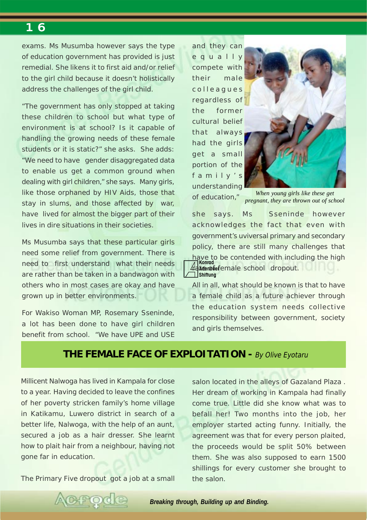<span id="page-15-0"></span>exams. Ms Musumba however says the type of education government has provided is just remedial. She likens it to first aid and/or relief to the girl child because it doesn't holistically address the challenges of the girl child.

"The government has only stopped at taking these children to school but what type of environment is at school? Is it capable of handling the growing needs of these female students or it is static?" she asks. She adds: "We need to have gender disaggregated data to enable us get a common ground when dealing with girl children," she says. Many girls, like those orphaned by HIV Aids, those that stay in slums, and those affected by war, have lived for almost the bigger part of their lives in dire situations in their societies.

Ms Musumba says that these particular girls need some relief from government. There is need to first understand what their needs are rather than be taken in a bandwagon with others who in most cases are okay and have grown up in better environments.

For Wakiso Woman MP, Rosemary Sseninde, a lot has been done to have girl children benefit from school. "We have UPE and USE

and they can equally compete with their male colleagues regardless of the former cultural belief that always had the girls get a small portion of the family's understanding of education,"



*When young girls like these get pregnant, they are thrown out of school*

have to be contended with including the high<br>4 **Konrad Adenauer** rate of female school dropout. **Shiftung** she says. Ms Sseninde however acknowledges the fact that even with government's uviversal primary and secondary policy, there are still many challenges that

All in all, what should be known is that to have a female child as a future achiever through the education system needs collective responsibility between government, society and girls themselves.

## **THE FEMALE FACE OF EXPLOITATION -** By Olive Eyotaru

Millicent Nalwoga has lived in Kampala for close to a year. Having decided to leave the confines of her poverty stricken family's home village in Katikamu, Luwero district in search of a better life, Nalwoga, with the help of an aunt, secured a job as a hair dresser. She learnt how to plait hair from a neighbour, having not gone far in education.

The Primary Five dropout got a job at a small

CHPOC

salon located in the alleys of Gazaland Plaza . Her dream of working in Kampala had finally come true. Little did she know what was to befall her! Two months into the job, her employer started acting funny. Initially, the agreement was that for every person plaited, the proceeds would be split 50% between them. She was also supposed to earn 1500 shillings for every customer she brought to the salon.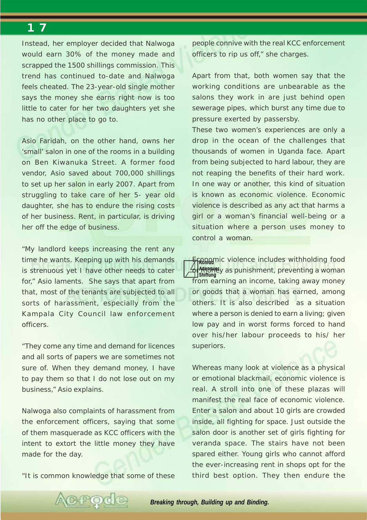Instead, her employer decided that Nalwoga would earn 30% of the money made and scrapped the 1500 shillings commission. This trend has continued to-date and Nalwoga feels cheated. The 23-year-old single mother says the money she earns right now is too little to cater for her two daughters yet she has no other place to go to.

Asio Faridah, on the other hand, owns her 'small' salon in one of the rooms in a building on Ben Kiwanuka Street. A former food vendor, Asio saved about 700,000 shillings to set up her salon in early 2007. Apart from struggling to take care of her 5- year old daughter, she has to endure the rising costs of her business. Rent, in particular, is driving her off the edge of business.

"My landlord keeps increasing the rent any time he wants. Keeping up with his demands is strenuous yet I have other needs to cater for," Asio laments. She says that apart from that, most of the tenants are subjected to all sorts of harassment, especially from the Kampala City Council law enforcement officers.

"They come any time and demand for licences and all sorts of papers we are sometimes not sure of. When they demand money, I have to pay them so that I do not lose out on my business," Asio explains.

Nalwoga also complaints of harassment from the enforcement officers, saying that some of them masquerade as KCC officers with the intent to extort the little money they have made for the day.

"It is common knowledge that some of these

people connive with the real KCC enforcement officers to rip us off," she charges.

Apart from that, both women say that the working conditions are unbearable as the salons they work in are just behind open sewerage pipes, which burst any time due to pressure exerted by passersby.

These two women's experiences are only a drop in the ocean of the challenges that thousands of women in Uganda face. Apart from being subjected to hard labour, they are not reaping the benefits of their hard work. In one way or another, this kind of situation is known as economic violence. Economic violence is described as any act that harms a girl or a woman's financial well-being or a situation where a person uses money to control a woman.

**Enanomic violence includes withholding food Adenauer Sh<sup>adengue</sup>y as punishment, preventing a woman<br>II shiftung** from earning an income, taking away money or goods that a woman has earned, among others. It is also described as a situation where a person is denied to earn a living; given low pay and in worst forms forced to hand over his/her labour proceeds to his/ her superiors.

Whereas many look at violence as a physical or emotional blackmail, economic violence is real. A stroll into one of these plazas will manifest the real face of economic violence. Enter a salon and about 10 girls are crowded inside, all fighting for space. Just outside the salon door is another set of girls fighting for veranda space. The stairs have not been spared either. Young girls who cannot afford the ever-increasing rent in shops opt for the third best option. They then endure the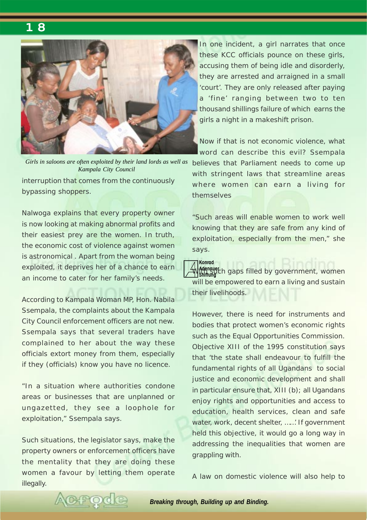

interruption that comes from the continuously Girls in saloons are often exploited by their land lords as well as believes that Parliament needs to come up *Kampala City Council*

bypassing shoppers.

Nalwoga explains that every property owner is now looking at making abnormal profits and their easiest prey are the women. In truth, the economic cost of violence against women is astronomical . Apart from the woman being exploited, it deprives her of a chance to earn an income to cater for her family's needs.

According to Kampala Woman MP, Hon. Nabila Ssempala, the complaints about the Kampala City Council enforcement officers are not new. Ssempala says that several traders have complained to her about the way these officials extort money from them, especially if they (officials) know you have no licence.

"In a situation where authorities condone areas or businesses that are unplanned or ungazetted, they see a loophole for exploitation," Ssempala says.

Such situations, the legislator says, make the property owners or enforcement officers have the mentality that they are doing these women a favour by letting them operate illegally.

CHPO

In one incident, a girl narrates that once these KCC officials pounce on these girls, accusing them of being idle and disorderly, they are arrested and arraigned in a small 'court'. They are only released after paying a 'fine' ranging between two to ten thousand shillings failure of which earns the girls a night in a makeshift prison.

Now if that is not economic violence, what word can describe this evil? Ssempala with stringent laws that streamline areas where women can earn a living for themselves

"Such areas will enable women to work well knowing that they are safe from any kind of exploitation, especially from the men," she says.

**Adenauer With such a set of the such supplying the supplying supplying the supplying supplying the supplying supplying t**<br>Shiftung will be empowered to earn a living and sustain their livelihoods.

However, there is need for instruments and bodies that protect women's economic rights such as the Equal Opportunities Commission. Objective XIII of the 1995 constitution says that 'the state shall endeavour to fulfill the fundamental rights of all Ugandans to social justice and economic development and shall in particular ensure that, XIII (b); all Ugandans enjoy rights and opportunities and access to education, health services, clean and safe water, work, decent shelter, ……' If government held this objective, it would go a long way in addressing the inequalities that women are grappling with.

A law on domestic violence will also help to

*Breaking through, Building up and Binding.*

**Konrad**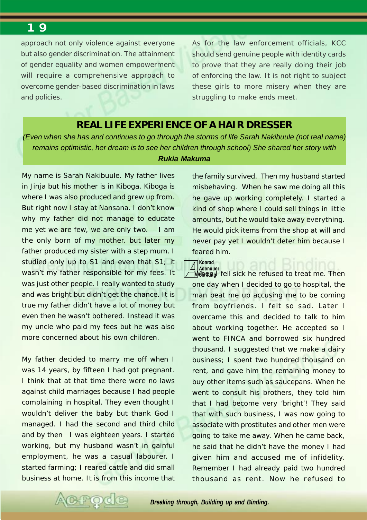approach not only violence against everyone but also gender discrimination. The attainment of gender equality and women empowerment will require a comprehensive approach to overcome gender-based discrimination in laws and policies.

As for the law enforcement officials, KCC should send genuine people with identity cards to prove that they are really doing their job of enforcing the law. It is not right to subject these girls to more misery when they are struggling to make ends meet.

#### **REAL LIFE EXPERIENCE OF A HAIR DRESSER**

*(Even when she has and continues to go through the storms of life Sarah Nakibuule (not real name) remains optimistic, her dream is to see her children through school) She shared her story with Rukia Makuma*

**Konrad**

My name is Sarah Nakibuule. My father lives in Jinja but his mother is in Kiboga. Kiboga is where I was also produced and grew up from. But right now I stay at Nansana. I don't know why my father did not manage to educate me yet we are few, we are only two. I am the only born of my mother, but later my father produced my sister with a step mum. I studied only up to S1 and even that S1; it wasn't my father responsible for my fees. It was just other people. I really wanted to study and was bright but didn't get the chance. It is true my father didn't have a lot of money but even then he wasn't bothered. Instead it was my uncle who paid my fees but he was also more concerned about his own children.

My father decided to marry me off when I was 14 years, by fifteen I had got pregnant. I think that at that time there were no laws against child marriages because I had people complaining in hospital. They even thought I wouldn't deliver the baby but thank God I managed. I had the second and third child and by then I was eighteen years. I started working, but my husband wasn't in gainful employment, he was a casual labourer. I started farming; I reared cattle and did small business at home. It is from this income that the family survived. Then my husband started misbehaving. When he saw me doing all this he gave up working completely. I started a kind of shop where I could sell things in little amounts, but he would take away everything. He would pick items from the shop at will and never pay yet I wouldn't deter him because I feared him.

**Adenauer Monang** fell sick he refused to treat me. Then one day when I decided to go to hospital, the man beat me up accusing me to be coming from boyfriends. I felt so sad. Later I overcame this and decided to talk to him about working together. He accepted so I went to FINCA and borrowed six hundred thousand. I suggested that we make a dairy business; I spent two hundred thousand on rent, and gave him the remaining money to buy other items such as saucepans. When he went to consult his brothers, they told him that I had become very 'bright'! They said that with such business, I was now going to associate with prostitutes and other men were going to take me away. When he came back, he said that he didn't have the money I had given him and accused me of infidelity. Remember I had already paid two hundred thousand as rent. Now he refused to

<span id="page-18-0"></span>

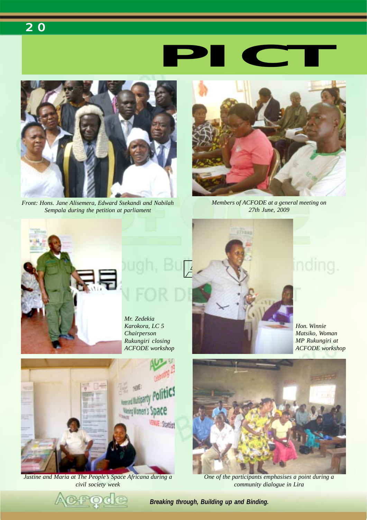

<span id="page-19-0"></span>

*Front: Hons. Jane Alisemera, Edward Ssekandi and Nabilah Sempala during the petition at parliament*



*Members of ACFODE at a general meeting on 27th June, 2009*



*Mr. Zedekia Karokora, LC 5 Chairperson Rukungiri closing ACFODE workshop*



nding.

*Hon. Winnie Matsiko, Woman MP Rukungiri at ACFODE workshop*



*Justine and Maria at The People's Space Africana during a civil society week*



*One of the participants emphasises a point during a community dialogue in Lira*

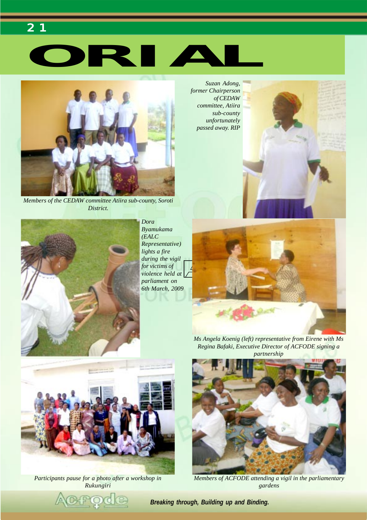# **ORIAL**



*2 1* 

*Members of the CEDAW committee Atiira sub-county, Soroti District.*



*Dora Byamukama (EALC Representative) lights a fire during the vigil for victims of violence held at parliament on 6th March, 2009*







*Participants pause for a photo after a workshop in Rukungiri*

*Ms Angela Koenig (left) representative from Eirene with Ms Regina Bafaki, Executive Director of ACFODE signing a partnership*



*Members of ACFODE attending a vigil in the parliamentary gardens*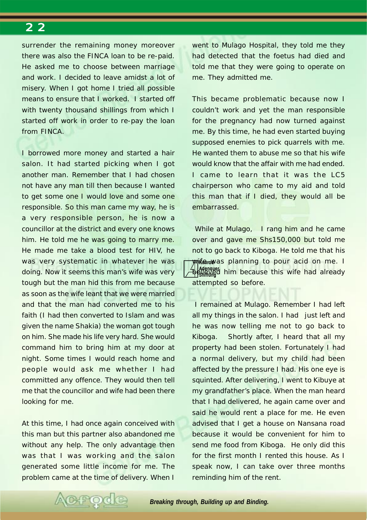surrender the remaining money moreover there was also the FINCA loan to be re-paid. He asked me to choose between marriage and work. I decided to leave amidst a lot of misery. When I got home I tried all possible means to ensure that I worked. I started off with twenty thousand shillings from which I started off work in order to re-pay the loan from FINCA.

I borrowed more money and started a hair salon. It had started picking when I got another man. Remember that I had chosen not have any man till then because I wanted to get some one I would love and some one responsible. So this man came my way, he is a very responsible person, he is now a councillor at the district and every one knows him. He told me he was going to marry me. He made me take a blood test for HIV, he was very systematic in whatever he was doing. Now it seems this man's wife was very tough but the man hid this from me because as soon as the wife leant that we were married and that the man had converted me to his faith (I had then converted to Islam and was given the name Shakia) the woman got tough on him. She made his life very hard. She would command him to bring him at my door at night. Some times I would reach home and people would ask me whether I had committed any offence. They would then tell me that the councillor and wife had been there looking for me.

At this time, I had once again conceived with this man but this partner also abandoned me without any help. The only advantage then was that I was working and the salon generated some little income for me. The problem came at the time of delivery. When I

went to Mulago Hospital, they told me they had detected that the foetus had died and told me that they were going to operate on me. They admitted me.

This became problematic because now I couldn't work and yet the man responsible for the pregnancy had now turned against me. By this time, he had even started buying supposed enemies to pick quarrels with me. He wanted them to abuse me so that his wife would know that the affair with me had ended. I came to learn that it was the LC5 chairperson who came to my aid and told this man that if I died, they would all be embarrassed.

*Mike rewas planning to pour acid on me. I* **Adenauer Believed him because this wife had already** While at Mulago, I rang him and he came over and gave me Shs150,000 but told me not to go back to Kiboga. He told me that his attempted so before.

 I remained at Mulago. Remember I had left all my things in the salon. I had just left and he was now telling me not to go back to Kiboga. Shortly after, I heard that all my property had been stolen. Fortunately I had a normal delivery, but my child had been affected by the pressure I had. His one eye is squinted. After delivering, I went to Kibuye at my grandfather's place. When the man heard that I had delivered, he again came over and said he would rent a place for me. He even advised that I get a house on Nansana road because it would be convenient for him to send me food from Kiboga. He only did this for the first month I rented this house. As I speak now, I can take over three months reminding him of the rent.

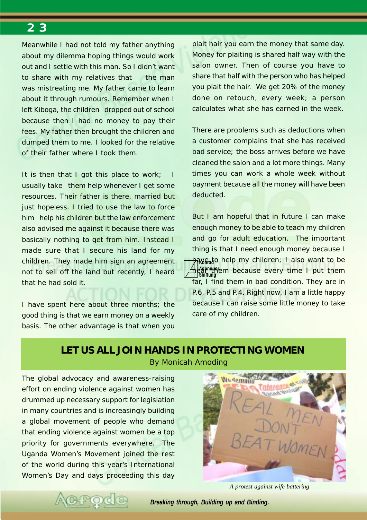<span id="page-22-0"></span>Meanwhile I had not told my father anything about my dilemma hoping things would work out and I settle with this man. So I didn't want to share with my relatives that the man was mistreating me. My father came to learn about it through rumours. Remember when I left Kiboga, the children dropped out of school because then I had no money to pay their fees. My father then brought the children and dumped them to me. I looked for the relative of their father where I took them.

It is then that I got this place to work; usually take them help whenever I get some resources. Their father is there, married but just hopeless. I tried to use the law to force him help his children but the law enforcement also advised me against it because there was basically nothing to get from him. Instead I made sure that I secure his land for my children. They made him sign an agreement not to sell off the land but recently, I heard that he had sold it.

I have spent here about three months; the good thing is that we earn money on a weekly basis. The other advantage is that when you

plait hair you earn the money that same day. Money for plaiting is shared half way with the salon owner. Then of course you have to share that half with the person who has helped you plait the hair. We get 20% of the money done on retouch, every week; a person calculates what she has earned in the week.

There are problems such as deductions when a customer complains that she has received bad service; the boss arrives before we have cleaned the salon and a lot more things. Many times you can work a whole week without payment because all the money will have been deducted.

<mark>ትብል<sub>ଜିଜ</sub>t</mark>o help my children; I also want to be **Adencies** because every time I put them **Shiftung** But I am hopeful that in future I can make enough money to be able to teach my children and go for adult education. The important thing is that I need enough money because I far, I find them in bad condition. They are in P.6, P.5 and P.4. Right now, I am a little happy because I can raise some little money to take care of my children.

#### **LET US ALL JOIN HANDS IN PROTECTING WOMEN** *By Monicah Amoding*

The global advocacy and awareness-raising effort on ending violence against women has drummed up necessary support for legislation in many countries and is increasingly building a global movement of people who demand that ending violence against women be a top priority for governments everywhere. The Uganda Women's Movement joined the rest of the world during this year's International Women's Day and days proceeding this day

POC



*A protest against wife battering*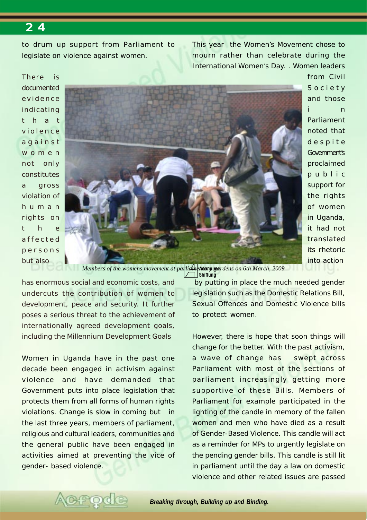to drum up support from Parliament to legislate on violence against women.

This year the Women's Movement chose to mourn rather than celebrate during the International Women's Day. . Women leaders

There is documented evidence indicating that violence against women not only constitutes a gross violation of human rights on t h e affected persons but also



from Civil Society and those i n Parliament noted that despite Government's proclaimed public support for the rights of women in Uganda, it had not translated its rhetoric into action

Members of the womens movement at parlidmentary wardens on 6th March, 2009

**Shiftung**

has enormous social and economic costs, and undercuts the contribution of women to development, peace and security. It further poses a serious threat to the achievement of internationally agreed development goals, including the Millennium Development Goals

Women in Uganda have in the past one decade been engaged in activism against violence and have demanded that Government puts into place legislation that protects them from all forms of human rights violations. Change is slow in coming but in the last three years, members of parliament, religious and cultural leaders, communities and the general public have been engaged in activities aimed at preventing the vice of gender- based violence.

H O

 by putting in place the much needed gender legislation such as the Domestic Relations Bill, Sexual Offences and Domestic Violence bills to protect women.

However, there is hope that soon things will change for the better. With the past activism, a wave of change has swept across Parliament with most of the sections of parliament increasingly getting more supportive of these Bills. Members of Parliament for example participated in the lighting of the candle in memory of the fallen women and men who have died as a result of Gender-Based Violence. This candle will act as a reminder for MPs to urgently legislate on the pending gender bills. This candle is still lit in parliament until the day a law on domestic violence and other related issues are passed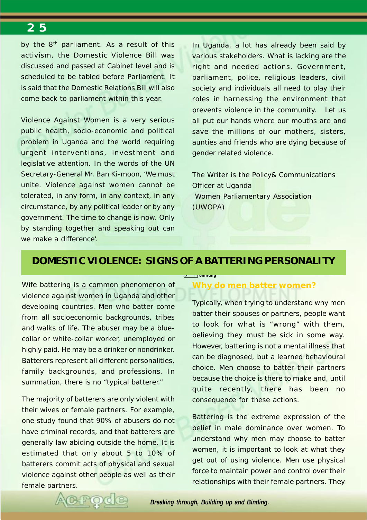by the 8<sup>th</sup> parliament. As a result of this activism, the Domestic Violence Bill was discussed and passed at Cabinet level and is scheduled to be tabled before Parliament. It is said that the Domestic Relations Bill will also come back to parliament within this year.

Violence Against Women is a very serious public health, socio-economic and political problem in Uganda and the world requiring urgent interventions, investment and legislative attention. In the words of the UN Secretary-General Mr. Ban Ki-moon, 'We must unite. Violence against women cannot be tolerated, in any form, in any context, in any circumstance, by any political leader or by any government. The time to change is now. Only by standing together and speaking out can we make a difference'.

In Uganda, a lot has already been said by various stakeholders. What is lacking are the right and needed actions. Government, parliament, police, religious leaders, civil society and individuals all need to play their roles in harnessing the environment that prevents violence in the community. Let us all put our hands where our mouths are and save the millions of our mothers, sisters, aunties and friends who are dying because of gender related violence.

The Writer is the Policy& Communications Officer at Uganda Women Parliamentary Association (UWOPA)

### **DOMESTIC VIOLENCE: SIGNS OF A BATTERING PERSONALITY**

**Shiftung**

Wife battering is a common phenomenon of violence against women in Uganda and other developing countries. Men who batter come from all socioeconomic backgrounds, tribes and walks of life. The abuser may be a bluecollar or white-collar worker, unemployed or highly paid. He may be a drinker or nondrinker. Batterers represent all different personalities, family backgrounds, and professions. In summation, there is no "typical batterer."

The majority of batterers are only violent with their wives or female partners. For example, one study found that 90% of abusers do not have criminal records, and that batterers are generally law abiding outside the home. It is estimated that only about 5 to 10% of batterers commit acts of physical and sexual violence against other people as well as their female partners.

#### **Why do men batter women?**

Typically, when trying to understand why men batter their spouses or partners, people want to look for what is "wrong" with them, believing they must be sick in some way. However, battering is not a mental illness that can be diagnosed, but a learned behavioural choice. Men choose to batter their partners because the choice is there to make and, until quite recently, there has been no consequence for these actions.

Battering is the extreme expression of the belief in male dominance over women. To understand why men may choose to batter women, it is important to look at what they get out of using violence. Men use physical force to maintain power and control over their relationships with their female partners. They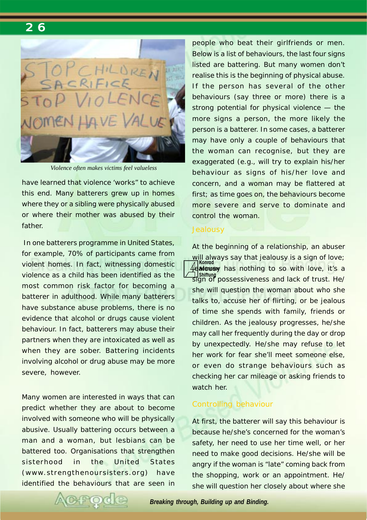

*Violence often makes victims feel valueless*

have learned that violence 'works" to achieve this end. Many batterers grew up in homes where they or a sibling were physically abused or where their mother was abused by their father.

 In one batterers programme in United States, for example, 70% of participants came from violent homes. In fact, witnessing domestic violence as a child has been identified as the most common risk factor for becoming a batterer in adulthood. While many batterers have substance abuse problems, there is no evidence that alcohol or drugs cause violent behaviour. In fact, batterers may abuse their partners when they are intoxicated as well as when they are sober. Battering incidents involving alcohol or drug abuse may be more severe, however.

Many women are interested in ways that can predict whether they are about to become involved with someone who will be physically abusive. Usually battering occurs between a man and a woman, but lesbians can be battered too. Organisations that strengthen sisterhood in the United States (www.strengthenoursisters.org) have identified the behaviours that are seen in people who beat their girlfriends or men. Below is a list of behaviours, the last four signs listed are battering. But many women don't realise this is the beginning of physical abuse. If the person has several of the other behaviours (say three or more) there is a strong potential for physical violence — the more signs a person, the more likely the person is a batterer. In some cases, a batterer may have only a couple of behaviours that the woman can recognise, but they are exaggerated (e.g., will try to explain his/her behaviour as signs of his/her love and concern, and a woman may be flattered at first; as time goes on, the behaviours become more severe and serve to dominate and control the woman.

#### **Jealousy**

**Konrad Adenauer** jealousy has nothing to so with love, it's a **Shiftung** sign of possessiveness and lack of trust. He/ At the beginning of a relationship, an abuser will always say that jealousy is a sign of love; she will question the woman about who she talks to, accuse her of flirting, or be jealous of time she spends with family, friends or children. As the jealousy progresses, he/she may call her frequently during the day or drop by unexpectedly. He/she may refuse to let her work for fear she'll meet someone else, or even do strange behaviours such as checking her car mileage or asking friends to watch her.

#### Controlling behaviour

At first, the batterer will say this behaviour is because he/she's concerned for the woman's safety, her need to use her time well, or her need to make good decisions. He/she will be angry if the woman is "late" coming back from the shopping, work or an appointment. He/ she will question her closely about where she

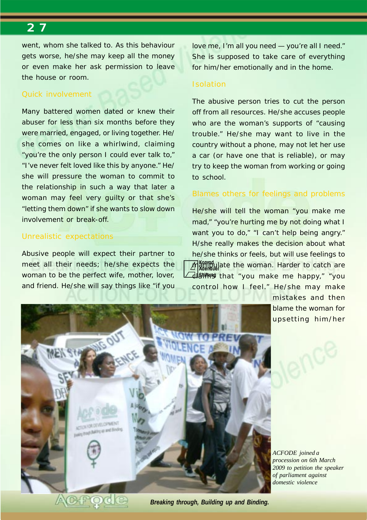went, whom she talked to. As this behaviour gets worse, he/she may keep all the money or even make her ask permission to leave the house or room.

#### Quick involvement

Many battered women dated or knew their abuser for less than six months before they were married, engaged, or living together. He/ she comes on like a whirlwind, claiming "you're the only person I could ever talk to," "I've never felt loved like this by anyone." He/ she will pressure the woman to commit to the relationship in such a way that later a woman may feel very guilty or that she's "letting them down" if she wants to slow down involvement or break-off.

#### Unrealistic expectations

Abusive people will expect their partner to meet all their needs; he/she expects the woman to be the perfect wife, mother, lover, and friend. He/she will say things like "if you

love me, I'm all you need — you're all I need." She is supposed to take care of everything for him/her emotionally and in the home.

#### Isolation

The abusive person tries to cut the person off from all resources. He/she accuses people who are the woman's supports of "causing trouble." He/she may want to live in the country without a phone, may not let her use a car (or have one that is reliable), or may try to keep the woman from working or going to school.

#### Blames others for feelings and problems

**Konrad** *Manipulate the woman. Harder to catch are* d**latitus** that "you make me happy," "you He/she will tell the woman "you make me mad," "you're hurting me by not doing what I want you to do," "I can't help being angry." H/she really makes the decision about what he/she thinks or feels, but will use feelings to control how I feel." He/she may make

> mistakes and then blame the woman for upsetting him/her



*ACFODE joined a procession on 6th March 2009 to petition the speaker of parliament against domestic violence*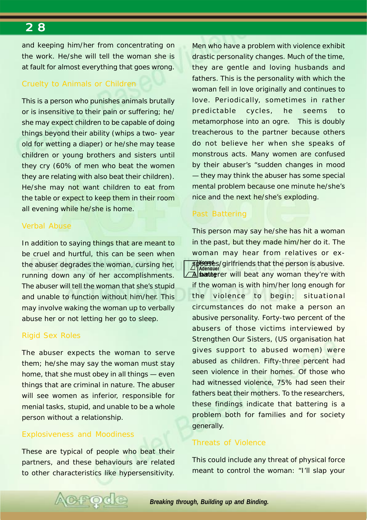and keeping him/her from concentrating on the work. He/she will tell the woman she is at fault for almost everything that goes wrong.

#### Cruelty to Animals or Children

This is a person who punishes animals brutally or is insensitive to their pain or suffering; he/ she may expect children to be capable of doing things beyond their ability (whips a two- year old for wetting a diaper) or he/she may tease children or young brothers and sisters until they cry (60% of men who beat the women they are relating with also beat their children). He/she may not want children to eat from the table or expect to keep them in their room all evening while he/she is home.

#### Verbal Abuse

In addition to saying things that are meant to be cruel and hurtful, this can be seen when the abuser degrades the woman, cursing her, running down any of her accomplishments. The abuser will tell the woman that she's stupid and unable to function without him/her. This may involve waking the woman up to verbally abuse her or not letting her go to sleep.

#### Rigid Sex Roles

The abuser expects the woman to serve them; he/she may say the woman must stay home, that she must obey in all things — even things that are criminal in nature. The abuser will see women as inferior, responsible for menial tasks, stupid, and unable to be a whole person without a relationship.

#### Explosiveness and Moodiness

These are typical of people who beat their partners, and these behaviours are related to other characteristics like hypersensitivity.

**FOC** 

Men who have a problem with violence exhibit drastic personality changes. Much of the time, they are gentle and loving husbands and fathers. This is the personality with which the woman fell in love originally and continues to love. Periodically, sometimes in rather predictable cycles, he seems to metamorphose into an ogre. This is doubly treacherous to the partner because others do not believe her when she speaks of monstrous acts. Many women are confused by their abuser's "sudden changes in mood — they may think the abuser has some special mental problem because one minute he/she's nice and the next he/she's exploding.

#### Past Battering

**splouse**s/girlfriends that the person is abusive. **Adenauer A shart thereption** will beat any woman they're with This person may say he/she has hit a woman in the past, but they made him/her do it. The woman may hear from relatives or exif the woman is with him/her long enough for the violence to begin; situational circumstances do not make a person an abusive personality. Forty-two percent of the abusers of those victims interviewed by Strengthen Our Sisters, (US organisation hat gives support to abused women) were abused as children. Fifty-three percent had seen violence in their homes. Of those who had witnessed violence, 75% had seen their fathers beat their mothers. To the researchers, these findings indicate that battering is a problem both for families and for society generally.

#### Threats of Violence

This could include any threat of physical force meant to control the woman: "I'll slap your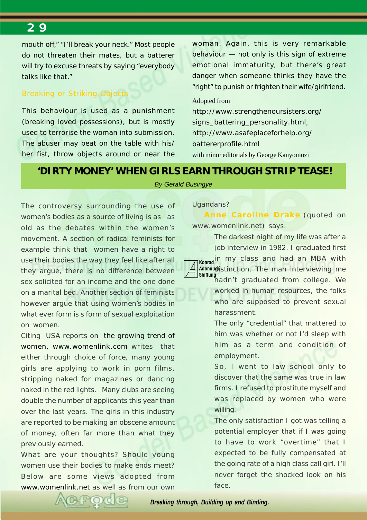mouth off," "I'll break your neck." Most people do not threaten their mates, but a batterer will try to excuse threats by saying "everybody" talks like that."

#### Breaking or Striking Objects

This behaviour is used as a punishment (breaking loved possessions), but is mostly used to terrorise the woman into submission. The abuser may beat on the table with his/ her fist, throw objects around or near the woman. Again, this is very remarkable behaviour — not only is this sign of extreme emotional immaturity, but there's great danger when someone thinks they have the "right" to punish or frighten their wife/girlfriend.

#### Adopted from

*http://www.strengthenoursisters.org/ signs\_battering\_personality.html, http://www.asafeplaceforhelp.org/ battererprofile.html* with minor editorials by George Kanyomozi

#### **'DIRTY MONEY' WHEN GIRLS EARN THROUGH STRIP TEASE!**

#### *By Gerald Busingye*

The controversy surrounding the use of women's bodies as a source of living is as as old as the debates within the women's movement. A section of radical feminists for example think that women have a right to use their bodies the way they feel like after all they argue, there is no difference between sex solicited for an income and the one done on a marital bed. Another section of feminists however argue that using women's bodies in what ever form is s form of sexual exploitation on women.

Citing USA reports on the growing trend of women, www.womenlink.com writes that either through choice of force, many young girls are applying to work in porn films, stripping naked for magazines or dancing naked in the red lights. Many clubs are seeing double the number of applicants this year than over the last years. The girls in this industry are reported to be making an obscene amount of money, often far more than what they previously earned.

What are your thoughts? Should young women use their bodies to make ends meet? Below are some views adopted from www.womenlink.net as well as from our own

#### Ugandans?

**Anne Caroline Drake** (quoted on www.womenlink.net) says:

**Konrad** in my class and had an MBA with The darkest night of my life was after a job interview in 1982. I graduated first

Adenaueristinction. The man interviewing me **Shiftung** hadn't graduated from college. We

worked in human resources, the folks who are supposed to prevent sexual harassment.

The only "credential" that mattered to him was whether or not I'd sleep with him as a term and condition of employment.

So, I went to law school only to discover that the same was true in law firms. I refused to prostitute myself and was replaced by women who were willing.

The only satisfaction I got was telling a potential employer that if I was going to have to work "overtime" that I expected to be fully compensated at the going rate of a high class call girl. I'll never forget the shocked look on his face.

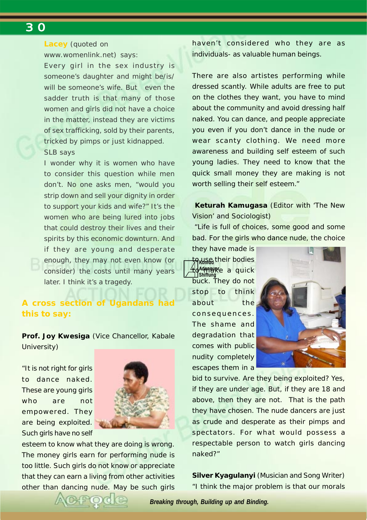#### **Lacey** (quoted on

www.womenlink.net) says:

Every girl in the sex industry is someone's daughter and might be/is/ will be someone's wife. But even the sadder truth is that many of those women and girls did not have a choice in the matter, instead they are victims of sex trafficking, sold by their parents, tricked by pimps or just kidnapped. SLB says

I wonder why it is women who have to consider this question while men don't. No one asks men, "would you strip down and sell your dignity in order to support your kids and wife?" It's the women who are being lured into jobs that could destroy their lives and their spirits by this economic downturn. And if they are young and desperate enough, they may not even know (or consider) the costs until many years later. I think it's a tragedy.

#### **A cross section of Ugandans had this to say:**

**Prof. Joy Kwesiga** (Vice Chancellor, Kabale University)

"It is not right for girls to dance naked. These are young girls who are not empowered. They are being exploited. Such girls have no self



esteem to know what they are doing is wrong. The money girls earn for performing nude is too little. Such girls do not know or appreciate that they can earn a living from other activities other than dancing nude. May be such girls haven't considered who they are as individuals- as valuable human beings.

There are also artistes performing while dressed scantly. While adults are free to put on the clothes they want, you have to mind about the community and avoid dressing half naked. You can dance, and people appreciate you even if you don't dance in the nude or wear scanty clothing. We need more awareness and building self esteem of such young ladies. They need to know that the quick small money they are making is not worth selling their self esteem."

 **Keturah Kamugasa** (Editor with 'The New Vision' and Sociologist)

 "Life is full of choices, some good and some bad. For the girls who dance nude, the choice

<del>t</del>o wse their bodies **Adenauer** to make a quick **Shiftung** they have made is buck. They do not stop to think about the consequences. The shame and degradation that comes with public nudity completely escapes them in a



bid to survive. Are they being exploited? Yes, if they are under age. But, if they are 18 and above, then they are not. That is the path they have chosen. The nude dancers are just as crude and desperate as their pimps and spectators. For what would possess a respectable person to watch girls dancing naked?"

**Silver Kyagulanyi** (Musician and Song Writer) "I think the major problem is that our morals

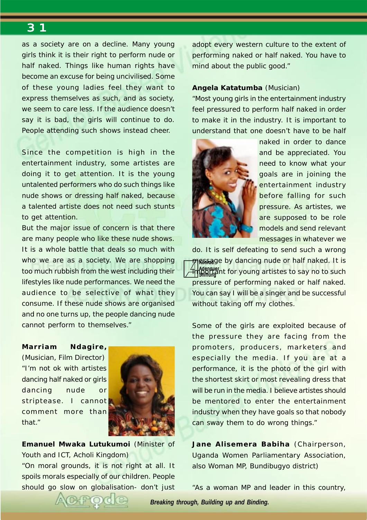as a society are on a decline. Many young girls think it is their right to perform nude or half naked. Things like human rights have become an excuse for being uncivilised. Some of these young ladies feel they want to express themselves as such, and as society, we seem to care less. If the audience doesn't say it is bad, the girls will continue to do. People attending such shows instead cheer.

Since the competition is high in the entertainment industry, some artistes are doing it to get attention. It is the young untalented performers who do such things like nude shows or dressing half naked, because a talented artiste does not need such stunts to get attention.

But the major issue of concern is that there are many people who like these nude shows. It is a whole battle that deals so much with who we are as a society. We are shopping too much rubbish from the west including their lifestyles like nude performances. We need the audience to be selective of what they consume. If these nude shows are organised and no one turns up, the people dancing nude cannot perform to themselves."

#### **Marriam Ndagire,**

(Musician, Film Director) "I'm not ok with artistes dancing half naked or girls dancing nude or striptease. I cannot comment more than that."



**Emanuel Mwaka Lutukumoi** (Minister of Youth and ICT, Acholi Kingdom)

"On moral grounds, it is not right at all. It spoils morals especially of our children. People should go slow on globalisation- don't just adopt every western culture to the extent of performing naked or half naked. You have to mind about the public good."

#### **Angela Katatumba** (Musician)

"Most young girls in the entertainment industry feel pressured to perform half naked in order to make it in the industry. It is important to understand that one doesn't have to be half



naked in order to dance and be appreciated. You need to know what your goals are in joining the entertainment industry before falling for such pressure. As artistes, we are supposed to be role models and send relevant messages in whatever we

<del>/</del> message by dancing nude or half naked. It is **Adenauer Endema**nt for young artistes to say no to such do. It is self defeating to send such a wrong pressure of performing naked or half naked. You can say I will be a singer and be successful without taking off my clothes.

Some of the girls are exploited because of the pressure they are facing from the promoters, producers, marketers and especially the media. If you are at a performance, it is the photo of the girl with the shortest skirt or most revealing dress that will be run in the media. I believe artistes should be mentored to enter the entertainment industry when they have goals so that nobody can sway them to do wrong things."

**Jane Alisemera Babiha** (Chairperson, Uganda Women Parliamentary Association, also Woman MP, Bundibugyo district)

"As a woman MP and leader in this country,

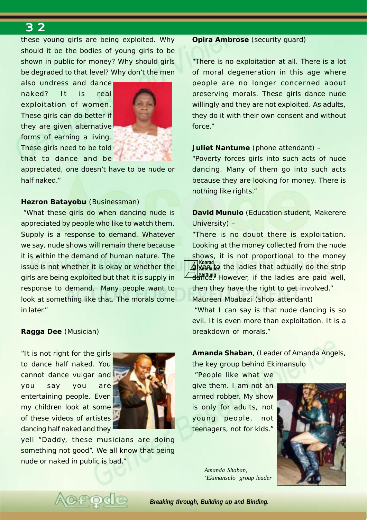these young girls are being exploited. Why should it be the bodies of young girls to be shown in public for money? Why should girls be degraded to that level? Why don't the men

also undress and dance naked? It is real exploitation of women. These girls can do better if they are given alternative forms of earning a living. These girls need to be told that to dance and be



appreciated, one doesn't have to be nude or half naked."

#### **Hezron Batayobu** (Businessman)

 "What these girls do when dancing nude is appreciated by people who like to watch them. Supply is a response to demand. Whatever we say, nude shows will remain there because it is within the demand of human nature. The issue is not whether it is okay or whether the girls are being exploited but that it is supply in response to demand. Many people want to look at something like that. The morals come in later."

#### **Ragga Dee** (Musician)

"It is not right for the girls to dance half naked. You cannot dance vulgar and you say you are entertaining people. Even my children look at some of these videos of artistes dancing half naked and they



yell "Daddy, these musicians are doing something not good". We all know that being nude or naked in public is bad."

#### **Opira Ambrose** (security guard)

"There is no exploitation at all. There is a lot of moral degeneration in this age where people are no longer concerned about preserving morals. These girls dance nude willingly and they are not exploited. As adults, they do it with their own consent and without force."

#### **Juliet Nantume** (phone attendant) –

"Poverty forces girls into such acts of nude dancing. Many of them go into such acts because they are looking for money. There is nothing like rights."

**David Munulo** (Education student, Makerere University) –

**Konrad Jiven to** the ladies that actually do the strip danteng However, if the ladies are paid well, "There is no doubt there is exploitation. Looking at the money collected from the nude shows, it is not proportional to the money then they have the right to get involved." Maureen Mbabazi (shop attendant)

 "What I can say is that nude dancing is so evil. It is even more than exploitation. It is a breakdown of morals."

**Amanda Shaban**, (Leader of Amanda Angels, the key group behind Ekimansulo

 "People like what we give them. I am not an armed robber. My show is only for adults, not young people, not teenagers, not for kids."



*Amanda Shaban, 'Ekimansulo' group leader*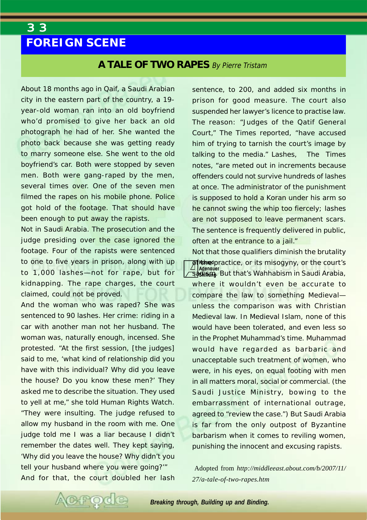## <span id="page-32-0"></span>*3 3*  **FOREIGN SCENE**

#### **A TALE OF TWO RAPES** By Pierre Tristam

About 18 months ago in Qaif, a Saudi Arabian city in the eastern part of the country, a 19 year-old woman ran into an old boyfriend who'd promised to give her back an old photograph he had of her. She wanted the photo back because she was getting ready to marry someone else. She went to the old boyfriend's car. Both were stopped by seven men. Both were gang-raped by the men, several times over. One of the seven men filmed the rapes on his mobile phone. Police got hold of the footage. That should have been enough to put away the rapists.

Not in Saudi Arabia. The prosecution and the judge presiding over the case ignored the footage. Four of the rapists were sentenced to one to five years in prison, along with up to 1,000 lashes—not for rape, but for kidnapping. The rape charges, the court claimed, could not be proved.

And the woman who was raped? She was sentenced to 90 lashes. Her crime: riding in a car with another man not her husband. The woman was, naturally enough, incensed. She protested. "At the first session, [the judges] said to me, 'what kind of relationship did you have with this individual? Why did you leave the house? Do you know these men?' They asked me to describe the situation. They used to yell at me," she told Human Rights Watch. "They were insulting. The judge refused to allow my husband in the room with me. One judge told me I was a liar because I didn't remember the dates well. They kept saying, 'Why did you leave the house? Why didn't you tell your husband where you were going?'" And for that, the court doubled her lash sentence, to 200, and added six months in prison for good measure. The court also suspended her lawyer's licence to practise law. The reason: "Judges of the Qatif General Court," The Times reported, "have accused him of trying to tarnish the court's image by talking to the media." Lashes, The Times notes, "are meted out in increments because offenders could not survive hundreds of lashes at once. The administrator of the punishment is supposed to hold a Koran under his arm so he cannot swing the whip too fiercely; lashes are not supposed to leave permanent scars. The sentence is frequently delivered in public, often at the entrance to a jail."

**Althed** practice, or its misogyny, or the court's **Adenauer Shiftung** sadism. But that's Wahhabism in Saudi Arabia, Not that those qualifiers diminish the brutality where it wouldn't even be accurate to compare the law to something Medieval unless the comparison was with Christian Medieval law. In Medieval Islam, none of this would have been tolerated, and even less so in the Prophet Muhammad's time. Muhammad would have regarded as barbaric and unacceptable such treatment of women, who were, in his eyes, on equal footing with men in all matters moral, social or commercial. (the Saudi Justice Ministry, bowing to the embarrassment of international outrage, agreed to "review the case.") But Saudi Arabia is far from the only outpost of Byzantine barbarism when it comes to reviling women, punishing the innocent and excusing rapists.

 Adopted from *http://middleeast.about.com/b/2007/11/ 27/a-tale-of-two-rapes.htm*

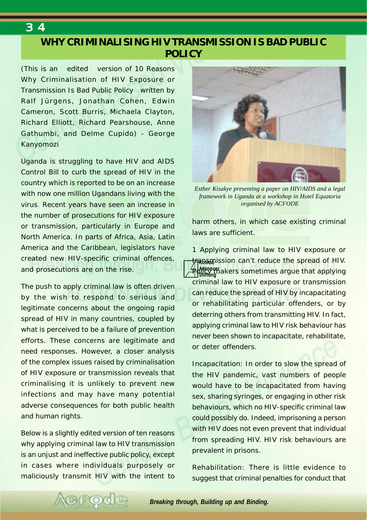## **WHY CRIMINALISING HIV TRANSMISSION IS BAD PUBLIC POLICY**

*(This is an edited version of 10 Reasons Why Criminalisation of HIV Exposure or Transmission Is Bad Public Policy written by Ralf Jürgens, Jonathan Cohen, Edwin Cameron, Scott Burris, Michaela Clayton, Richard Elliott, Richard Pearshouse, Anne Gathumbi, and Delme Cupido) - George Kanyomozi*

Uganda is struggling to have HIV and AIDS Control Bill to curb the spread of HIV in the country which is reported to be on an increase with now one million Ugandans living with the virus. Recent years have seen an increase in the number of prosecutions for HIV exposure or transmission, particularly in Europe and North America. In parts of Africa, Asia, Latin America and the Caribbean, legislators have created new HIV-specific criminal offences, and prosecutions are on the rise.

The push to apply criminal law is often driven by the wish to respond to serious and legitimate concerns about the ongoing rapid spread of HIV in many countries, coupled by what is perceived to be a failure of prevention efforts. These concerns are legitimate and need responses. However, a closer analysis of the complex issues raised by criminalisation of HIV exposure or transmission reveals that criminalising it is unlikely to prevent new infections and may have many potential adverse consequences for both public health and human rights.

Below is a slightly edited version of ten reasons why applying criminal law to HIV transmission is an unjust and ineffective public policy, except in cases where individuals purposely or maliciously transmit HIV with the intent to

**PO** 



*Esther Kisakye presenting a paper on HIV/AIDS and a legal framework in Uganda at a workshop in Hotel Equatoria organised by ACFODE*

harm others, in which case existing criminal laws are sufficient.

<u>#</u>pa‱mission can't reduce the spread of HIV. **Adenauer Bolicy th**akers sometimes argue that applying<br>I shifting 1 Applying criminal law to HIV exposure or criminal law to HIV exposure or transmission can reduce the spread of HIV by incapacitating or rehabilitating particular offenders, or by deterring others from transmitting HIV. In fact, applying criminal law to HIV risk behaviour has never been shown to incapacitate, rehabilitate, or deter offenders.

Incapacitation: In order to slow the spread of the HIV pandemic, vast numbers of people would have to be incapacitated from having sex, sharing syringes, or engaging in other risk behaviours, which no HIV-specific criminal law could possibly do. Indeed, imprisoning a person with HIV does not even prevent that individual from spreading HIV. HIV risk behaviours are prevalent in prisons.

Rehabilitation: There is little evidence to suggest that criminal penalties for conduct that

*Breaking through, Building up and Binding.*

<span id="page-33-0"></span>*3 4*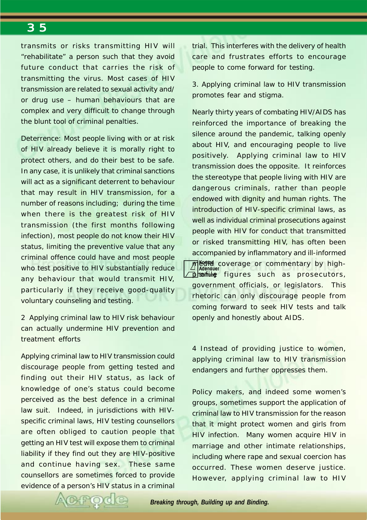transmits or risks transmitting HIV will "rehabilitate" a person such that they avoid future conduct that carries the risk of transmitting the virus. Most cases of HIV transmission are related to sexual activity and/ or drug use – human behaviours that are complex and very difficult to change through the blunt tool of criminal penalties.

Deterrence: Most people living with or at risk of HIV already believe it is morally right to protect others, and do their best to be safe. In any case, it is unlikely that criminal sanctions will act as a significant deterrent to behaviour that may result in HIV transmission, for a number of reasons including; during the time when there is the greatest risk of HIV transmission (the first months following infection), most people do not know their HIV status, limiting the preventive value that any criminal offence could have and most people who test positive to HIV substantially reduce any behaviour that would transmit HIV, particularly if they receive good-quality voluntary counseling and testing.

2 Applying criminal law to HIV risk behaviour can actually undermine HIV prevention and treatment efforts

Applying criminal law to HIV transmission could discourage people from getting tested and finding out their HIV status, as lack of knowledge of one's status could become perceived as the best defence in a criminal law suit. Indeed, in jurisdictions with HIVspecific criminal laws, HIV testing counsellors are often obliged to caution people that getting an HIV test will expose them to criminal liability if they find out they are HIV-positive and continue having sex. These same counsellors are sometimes forced to provide evidence of a person's HIV status in a criminal trial. This interferes with the delivery of health care and frustrates efforts to encourage people to come forward for testing.

3. Applying criminal law to HIV transmission promotes fear and stigma.

**Konrad Media coverage or commentary by high-**<br>Adenauer **p**somifile figures such as prosecutors, Nearly thirty years of combating HIV/AIDS has reinforced the importance of breaking the silence around the pandemic, talking openly about HIV, and encouraging people to live positively. Applying criminal law to HIV transmission does the opposite. It reinforces the stereotype that people living with HIV are dangerous criminals, rather than people endowed with dignity and human rights. The introduction of HIV-specific criminal laws, as well as individual criminal prosecutions against people with HIV for conduct that transmitted or risked transmitting HIV, has often been accompanied by inflammatory and ill-informed government officials, or legislators. This rhetoric can only discourage people from coming forward to seek HIV tests and talk openly and honestly about AIDS.

4 Instead of providing justice to women, applying criminal law to HIV transmission endangers and further oppresses them.

Policy makers, and indeed some women's groups, sometimes support the application of criminal law to HIV transmission for the reason that it might protect women and girls from HIV infection. Many women acquire HIV in marriage and other intimate relationships, including where rape and sexual coercion has occurred. These women deserve justice. However, applying criminal law to HIV

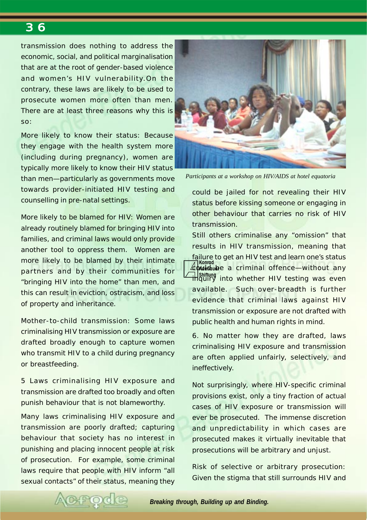transmission does nothing to address the economic, social, and political marginalisation that are at the root of gender-based violence and women's HIV vulnerability.On the contrary, these laws are likely to be used to prosecute women more often than men. There are at least three reasons why this is so:

More likely to know their status: Because they engage with the health system more (including during pregnancy), women are typically more likely to know their HIV status than men—particularly as governments move towards provider-initiated HIV testing and counselling in pre-natal settings.

More likely to be blamed for HIV: Women are already routinely blamed for bringing HIV into families, and criminal laws would only provide another tool to oppress them. Women are more likely to be blamed by their intimate partners and by their communities for "bringing HIV into the home" than men, and this can result in eviction, ostracism, and loss of property and inheritance.

Mother-to-child transmission: Some laws criminalising HIV transmission or exposure are drafted broadly enough to capture women who transmit HIV to a child during pregnancy or breastfeeding.

5 Laws criminalising HIV exposure and transmission are drafted too broadly and often punish behaviour that is not blameworthy.

Many laws criminalising HIV exposure and transmission are poorly drafted; capturing behaviour that society has no interest in punishing and placing innocent people at risk of prosecution. For example, some criminal laws require that people with HIV inform "all sexual contacts" of their status, meaning they



*Participants at a workshop on HIV/AIDS at hotel equatoria*

could be jailed for not revealing their HIV status before kissing someone or engaging in other behaviour that carries no risk of HIV transmission.

**Konrad Adenauer** could be a criminal offence—without any **Shiftung** inquiry into whether HIV testing was even Still others criminalise any "omission" that results in HIV transmission, meaning that failure to get an HIV test and learn one's status available. Such over-breadth is further evidence that criminal laws against HIV transmission or exposure are not drafted with public health and human rights in mind.

6. No matter how they are drafted, laws criminalising HIV exposure and transmission are often applied unfairly, selectively, and ineffectively.

Not surprisingly, where HIV-specific criminal provisions exist, only a tiny fraction of actual cases of HIV exposure or transmission will ever be prosecuted. The immense discretion and unpredictability in which cases are prosecuted makes it virtually inevitable that prosecutions will be arbitrary and unjust.

Risk of selective or arbitrary prosecution: Given the stigma that still surrounds HIV and

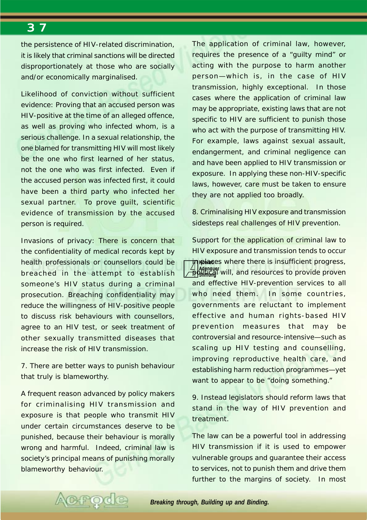the persistence of HIV-related discrimination, it is likely that criminal sanctions will be directed disproportionately at those who are socially and/or economically marginalised.

Likelihood of conviction without sufficient evidence: Proving that an accused person was HIV-positive at the time of an alleged offence, as well as proving who infected whom, is a serious challenge. In a sexual relationship, the one blamed for transmitting HIV will most likely be the one who first learned of her status, not the one who was first infected. Even if the accused person was infected first, it could have been a third party who infected her sexual partner. To prove quilt, scientific evidence of transmission by the accused person is required.

Invasions of privacy: There is concern that the confidentiality of medical records kept by health professionals or counsellors could be breached in the attempt to establish someone's HIV status during a criminal prosecution. Breaching confidentiality may reduce the willingness of HIV-positive people to discuss risk behaviours with counsellors, agree to an HIV test, or seek treatment of other sexually transmitted diseases that increase the risk of HIV transmission.

7. There are better ways to punish behaviour that truly is blameworthy.

A frequent reason advanced by policy makers for criminalising HIV transmission and exposure is that people who transmit HIV under certain circumstances deserve to be punished, because their behaviour is morally wrong and harmful. Indeed, criminal law is society's principal means of punishing morally blameworthy behaviour.

FOC

The application of criminal law, however, requires the presence of a "guilty mind" or acting with the purpose to harm another person—which is, in the case of HIV transmission, highly exceptional. In those cases where the application of criminal law may be appropriate, existing laws that are not specific to HIV are sufficient to punish those who act with the purpose of transmitting HIV. For example, laws against sexual assault, endangerment, and criminal negligence can and have been applied to HIV transmission or exposure. In applying these non-HIV-specific laws, however, care must be taken to ensure they are not applied too broadly.

8. Criminalising HIV exposure and transmission sidesteps real challenges of HIV prevention.

**The Convert of the Standard Standard The Converts** of the **institutions** of the **instance** of the **institutions** of the **institutions** of the institutions of the institutions of the institutions of the institutions of the **Adenauer politica**l will, and resources to provide proven Support for the application of criminal law to HIV exposure and transmission tends to occur and effective HIV-prevention services to all who need them. In some countries, governments are reluctant to implement effective and human rights-based HIV prevention measures that may be controversial and resource-intensive—such as scaling up HIV testing and counselling, improving reproductive health care, and establishing harm reduction programmes—yet want to appear to be "doing something."

9. Instead legislators should reform laws that stand in the way of HIV prevention and treatment.

The law can be a powerful tool in addressing HIV transmission if it is used to empower vulnerable groups and guarantee their access to services, not to punish them and drive them further to the margins of society. In most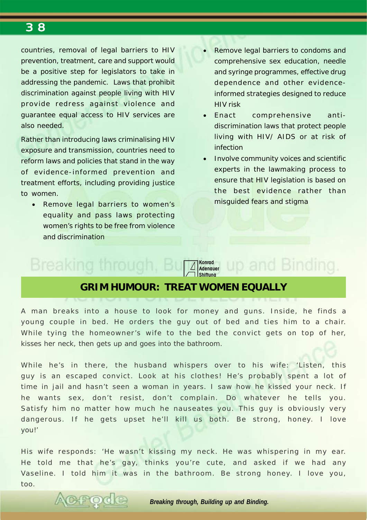<span id="page-37-0"></span>countries, removal of legal barriers to HIV prevention, treatment, care and support would be a positive step for legislators to take in addressing the pandemic. Laws that prohibit discrimination against people living with HIV provide redress against violence and guarantee equal access to HIV services are also needed.

Rather than introducing laws criminalising HIV exposure and transmission, countries need to reform laws and policies that stand in the way of evidence-informed prevention and treatment efforts, including providing justice to women.

• Remove legal barriers to women's equality and pass laws protecting women's rights to be free from violence and discrimination

- Remove legal barriers to condoms and comprehensive sex education, needle and syringe programmes, effective drug dependence and other evidenceinformed strategies designed to reduce HIV risk
- Enact comprehensive antidiscrimination laws that protect people living with HIV/ AIDS or at risk of infection
- Involve community voices and scientific experts in the lawmaking process to ensure that HIV legislation is based on the best evidence rather than misguided fears and stigma

up and Binding.

## Breaking through.

ACPOC



### **GRIM HUMOUR: TREAT WOMEN EQUALLY**

A man breaks into a house to look for money and guns. Inside, he finds a young couple in bed. He orders the guy out of bed and ties him to a chair. While tying the homeowner's wife to the bed the convict gets on top of her, kisses her neck, then gets up and goes into the bathroom.

While he's in there, the husband whispers over to his wife: 'Listen, this guy is an escaped convict. Look at his clothes! He's probably spent a lot of time in jail and hasn't seen a woman in years. I saw how he kissed your neck. If he wants sex, don't resist, don't complain. Do whatever he tells you. Satisfy him no matter how much he nauseates you. This guy is obviously very dangerous. If he gets upset he'll kill us both. Be strong, honey. I love you!'

His wife responds: 'He wasn't kissing my neck. He was whispering in my ear. He told me that he's gay, thinks you're cute, and asked if we had any Vaseline. I told him it was in the bathroom. Be strong honey. I love you, too.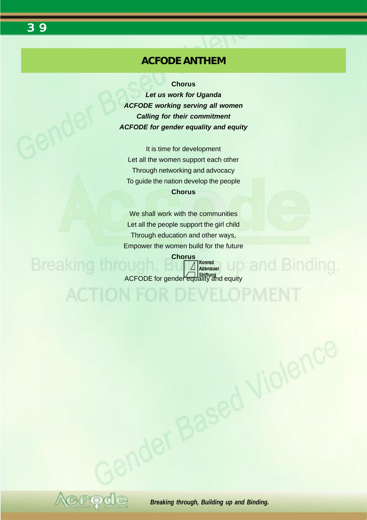**ACFODE ANTHEM**

<span id="page-38-0"></span>*3 9* 

**Chorus**

*Let us work for Uganda ACFODE working serving all women Calling for their commitment ACFODE for gender equality and equity*

It is time for development Let all the women support each other Through networking and advocacy To guide the nation develop the people **Chorus**

We shall work with the communities Let all the people support the girl child Through education and other ways, Empower the women build for the future

**Chorus Breaking throu Konrad Adenauer** ACFODE for gender equality and equity

**ACTION FOR DEVELOPMENT** 

and Binding.

**Based Violence**